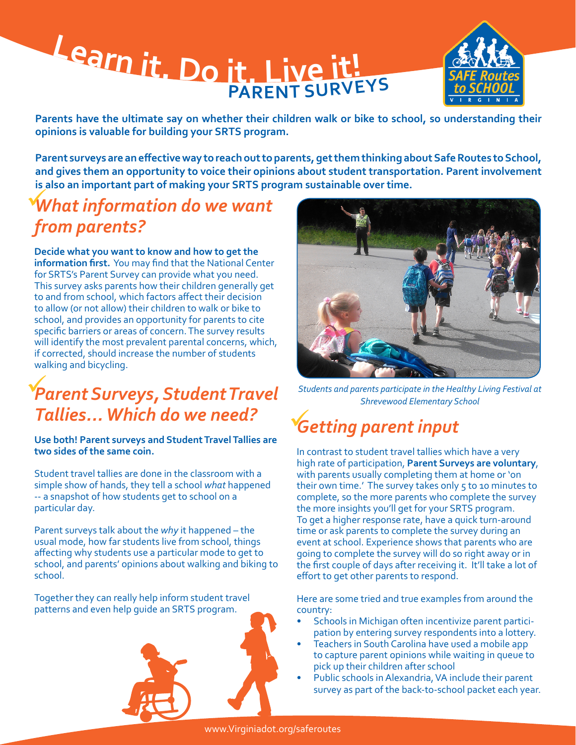# **<sup>L</sup>ear<sup>n</sup> <sup>i</sup>t. <sup>D</sup><sup>o</sup> <sup>i</sup>t. <sup>L</sup>iv<sup>e</sup> <sup>i</sup>t! <sup>P</sup>AREN<sup>T</sup> <sup>S</sup>URVEY<sup>S</sup>**



**Parents have the ultimate say on whether their children walk or bike to school, so understanding their opinions is valuable for building your SRTS program.** 

**Parent surveys are an effective way to reach out to parents, get them thinking about Safe Routes to School, and gives them an opportunity to voice their opinions about student transportation. Parent involvement is also an important part of making your SRTS program sustainable over time.**

### *What information do we want from parents?*

**Decide what you want to know and how to get the information first.** You may find that the National Center for SRTS's Parent Survey can provide what you need. This survey asks parents how their children generally get to and from school, which factors affect their decision to allow (or not allow) their children to walk or bike to school, and provides an opportunity for parents to cite specific barriers or areas of concern. The survey results will identify the most prevalent parental concerns, which, if corrected, should increase the number of students walking and bicycling.

### *Parent Surveys, Student Travel Students and parents participate in the Healthy Living Festival at Tallies... Which do we need?*

**Use both! Parent surveys and Student Travel Tallies are two sides of the same coin.** 

Student travel tallies are done in the classroom with a simple show of hands, they tell a school *what* happened -- a snapshot of how students get to school on a particular day.

Parent surveys talk about the *why* it happened – the usual mode, how far students live from school, things affecting why students use a particular mode to get to school, and parents' opinions about walking and biking to school.

Together they can really help inform student travel patterns and even help guide an SRTS program.







*Shrevewood Elementary School*

# *Getting parent input*

In contrast to student travel tallies which have a very high rate of participation, **Parent Surveys are voluntary**, with parents usually completing them at home or 'on their own time.' The survey takes only 5 to 10 minutes to complete, so the more parents who complete the survey the more insights you'll get for your SRTS program. To get a higher response rate, have a quick turn-around time or ask parents to complete the survey during an event at school. Experience shows that parents who are going to complete the survey will do so right away or in the first couple of days after receiving it. It'll take a lot of effort to get other parents to respond.

Here are some tried and true examples from around the country:

- Schools in Michigan often incentivize parent participation by entering survey respondents into a lottery.
- Teachers in South Carolina have used a mobile app to capture parent opinions while waiting in queue to pick up their children after school
- Public schools in Alexandria, VA include their parent survey as part of the back-to-school packet each year.